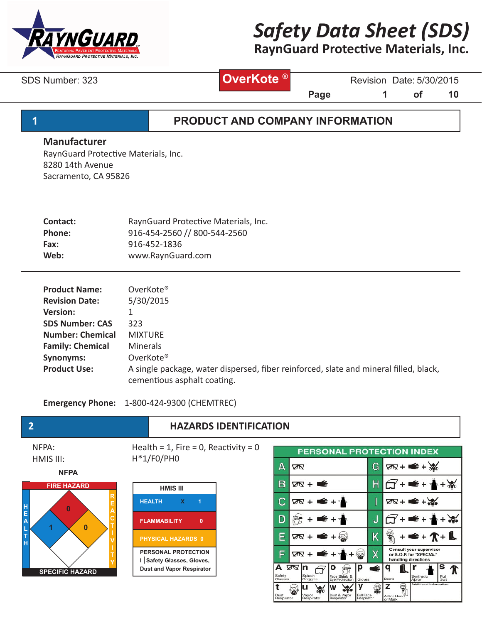

# **RaynGuard Protective Materials, Inc.**

SDS Number: 323 **Constructer State: 5/30/2015** Revision Date: 5/30/2015

**OverKote ®**

**Page 1** of 10

Full

\$

z

Ş

# **1 PRODUCT AND COMPANY INFORMATION**

#### **Manufacturer**

RaynGuard Protective Materials, Inc. 8280 14th Avenue Sacramento, CA 95826

| Contact:      | RaynGuard Protective Materials, Inc. |
|---------------|--------------------------------------|
| <b>Phone:</b> | 916-454-2560 // 800-544-2560         |
| Fax:          | 916-452-1836                         |
| Web:          | www.RaynGuard.com                    |

| <b>Product Name:</b>    | OverKote®                                                                             |
|-------------------------|---------------------------------------------------------------------------------------|
| <b>Revision Date:</b>   | 5/30/2015                                                                             |
| <b>Version:</b>         | 1                                                                                     |
| <b>SDS Number: CAS</b>  | 323                                                                                   |
| <b>Number: Chemical</b> | <b>MIXTURE</b>                                                                        |
| <b>Family: Chemical</b> | <b>Minerals</b>                                                                       |
| <b>Synonyms:</b>        | OverKote®                                                                             |
| <b>Product Use:</b>     | A single package, water dispersed, fiber reinforced, slate and mineral filled, black, |
|                         | cementious asphalt coating.                                                           |

**Emergency Phone:** 1-800-424-9300 (CHEMTREC)



t

u

W

 $\mathbf{v}$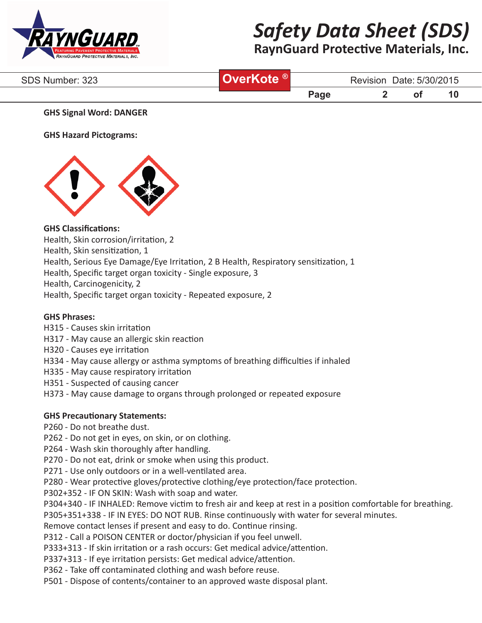

# **RaynGuard Protective Materials, Inc.**

| SDS Number: 323 | <b>Cote</b> | Date: 5/30/2015<br>Revision |  |    |    |  |
|-----------------|-------------|-----------------------------|--|----|----|--|
|                 |             | Page                        |  | Ο. | 1L |  |

#### **GHS Signal Word: DANGER**

**GHS Hazard Pictograms:**



## **GHS Classifications:**

- Health, Skin corrosion/irritation, 2
- Health, Skin sensitization, 1

Health, Serious Eye Damage/Eye Irritation, 2 B Health, Respiratory sensitization, 1

Health, Specific target organ toxicity - Single exposure, 3

Health, Carcinogenicity, 2

Health, Specific target organ toxicity - Repeated exposure, 2

#### **GHS Phrases:**

- H315 Causes skin irritation
- H317 May cause an allergic skin reaction
- H320 Causes eye irritation
- H334 May cause allergy or asthma symptoms of breathing difficulties if inhaled
- H335 May cause respiratory irritation
- H351 Suspected of causing cancer
- H373 May cause damage to organs through prolonged or repeated exposure

## **GHS Precautionary Statements:**

P260 - Do not breathe dust.

- P262 Do not get in eyes, on skin, or on clothing.
- P264 Wash skin thoroughly after handling.
- P270 Do not eat, drink or smoke when using this product.
- P271 Use only outdoors or in a well-ventilated area.

P280 - Wear protective gloves/protective clothing/eye protection/face protection.

P302+352 - IF ON SKIN: Wash with soap and water.

P304+340 - IF INHALED: Remove victim to fresh air and keep at rest in a position comfortable for breathing.

P305+351+338 - IF IN EYES: DO NOT RUB. Rinse continuously with water for several minutes.

Remove contact lenses if present and easy to do. Continue rinsing.

P312 - Call a POISON CENTER or doctor/physician if you feel unwell.

P333+313 - If skin irritation or a rash occurs: Get medical advice/attention.

P337+313 - If eye irritation persists: Get medical advice/attention.

P362 - Take off contaminated clothing and wash before reuse.

P501 - Dispose of contents/container to an approved waste disposal plant.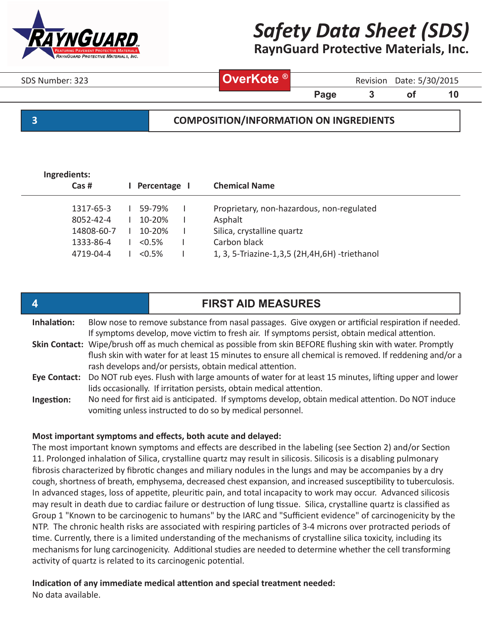

**RaynGuard Protective Materials, Inc.**

| SDS Number: 323 | ( ® ' | Revision | Date: 5/30/2015 |
|-----------------|-------|----------|-----------------|
|                 |       |          |                 |

**Page 3** of 10

## **3 COMPOSITION/INFORMATION ON INGREDIENTS**

| Ingredients:<br>$Cas$ # | Percentage I | <b>Chemical Name</b>                               |
|-------------------------|--------------|----------------------------------------------------|
| 1317-65-3               | 59-79%       | Proprietary, non-hazardous, non-regulated          |
| $8052 - 42 - 4$         | $10 - 20%$   | Asphalt                                            |
| 14808-60-7              | $10 - 20%$   | Silica, crystalline quartz                         |
| 1333-86-4               | $< 0.5\%$    | Carbon black                                       |
| 4719-04-4               | $< 0.5\%$    | 1, 3, 5-Triazine-1, 3, 5 (2H, 4H, 6H) - triethanol |
|                         |              |                                                    |

| $\boldsymbol{4}$ |                                                                                                                                                                                                                                                                                     | <b>FIRST AID MEASURES</b>                                                                                                                                                                            |  |  |  |  |  |
|------------------|-------------------------------------------------------------------------------------------------------------------------------------------------------------------------------------------------------------------------------------------------------------------------------------|------------------------------------------------------------------------------------------------------------------------------------------------------------------------------------------------------|--|--|--|--|--|
| Inhalation:      |                                                                                                                                                                                                                                                                                     | Blow nose to remove substance from nasal passages. Give oxygen or artificial respiration if needed.<br>If symptoms develop, move victim to fresh air. If symptoms persist, obtain medical attention. |  |  |  |  |  |
|                  | Skin Contact: Wipe/brush off as much chemical as possible from skin BEFORE flushing skin with water. Promptly<br>flush skin with water for at least 15 minutes to ensure all chemical is removed. If reddening and/or a<br>rash develops and/or persists, obtain medical attention. |                                                                                                                                                                                                      |  |  |  |  |  |
|                  |                                                                                                                                                                                                                                                                                     | Eye Contact: Do NOT rub eyes. Flush with large amounts of water for at least 15 minutes, lifting upper and lower<br>lids occasionally. If irritation persists, obtain medical attention.             |  |  |  |  |  |
| Ingestion:       |                                                                                                                                                                                                                                                                                     | No need for first aid is anticipated. If symptoms develop, obtain medical attention. Do NOT induce<br>vomiting unless instructed to do so by medical personnel.                                      |  |  |  |  |  |

#### **Most important symptoms and effects, both acute and delayed:**

The most important known symptoms and effects are described in the labeling (see Section 2) and/or Section 11. Prolonged inhalation of Silica, crystalline quartz may result in silicosis. Silicosis is a disabling pulmonary fibrosis characterized by fibrotic changes and miliary nodules in the lungs and may be accompanies by a dry cough, shortness of breath, emphysema, decreased chest expansion, and increased susceptibility to tuberculosis. In advanced stages, loss of appetite, pleuritic pain, and total incapacity to work may occur. Advanced silicosis may result in death due to cardiac failure or destruction of lung tissue. Silica, crystalline quartz is classified as Group 1 "Known to be carcinogenic to humans" by the IARC and "Sufficient evidence" of carcinogenicity by the NTP. The chronic health risks are associated with respiring particles of 3-4 microns over protracted periods of time. Currently, there is a limited understanding of the mechanisms of crystalline silica toxicity, including its mechanisms for lung carcinogenicity. Additional studies are needed to determine whether the cell transforming activity of quartz is related to its carcinogenic potential.

## **Indication of any immediate medical attention and special treatment needed:**

No data available.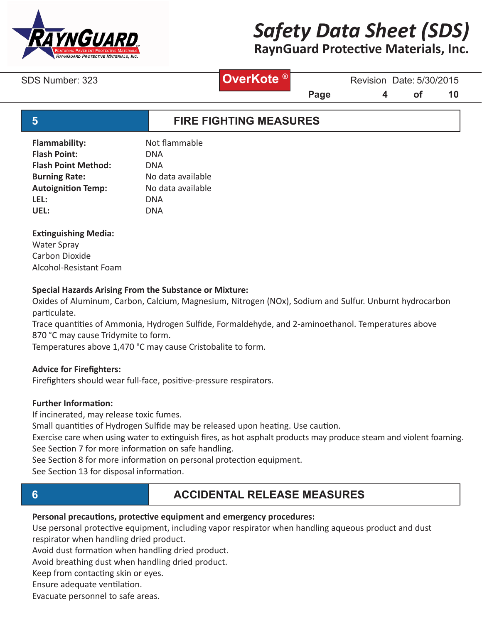

# **RaynGuard Protective Materials, Inc.**

# **OverKote ®**

SDS Number: 323 **CVerKote** Manus Revision Date: 5/30/2015

**Page 4 of 10** 

# **5 FIRE FIGHTING MEASURES**

| <b>Flammability:</b>       | Not flammable     |
|----------------------------|-------------------|
| <b>Flash Point:</b>        | DNA               |
| <b>Flash Point Method:</b> | DNA               |
| <b>Burning Rate:</b>       | No data available |
| <b>Autoignition Temp:</b>  | No data available |
| LEL:                       | DNA               |
| UEL:                       | DNA               |
|                            |                   |

## **Extinguishing Media:**

Water Spray Carbon Dioxide Alcohol-Resistant Foam

## **Special Hazards Arising From the Substance or Mixture:**

Oxides of Aluminum, Carbon, Calcium, Magnesium, Nitrogen (NOx), Sodium and Sulfur. Unburnt hydrocarbon particulate.

Trace quantities of Ammonia, Hydrogen Sulfide, Formaldehyde, and 2-aminoethanol. Temperatures above 870 °C may cause Tridymite to form.

Temperatures above 1,470 °C may cause Cristobalite to form.

## **Advice for Firefighters:**

Firefighters should wear full-face, positive-pressure respirators.

## **Further Information:**

If incinerated, may release toxic fumes.

Small quantities of Hydrogen Sulfide may be released upon heating. Use caution.

Exercise care when using water to extinguish fires, as hot asphalt products may produce steam and violent foaming. See Section 7 for more information on safe handling.

See Section 8 for more information on personal protection equipment.

See Section 13 for disposal information.

# **6 ACCIDENTAL RELEASE MEASURES**

## **Personal precautions, protective equipment and emergency procedures:**

Use personal protective equipment, including vapor respirator when handling aqueous product and dust respirator when handling dried product.

Avoid dust formation when handling dried product.

Avoid breathing dust when handling dried product.

Keep from contacting skin or eyes.

Ensure adequate ventilation.

Evacuate personnel to safe areas.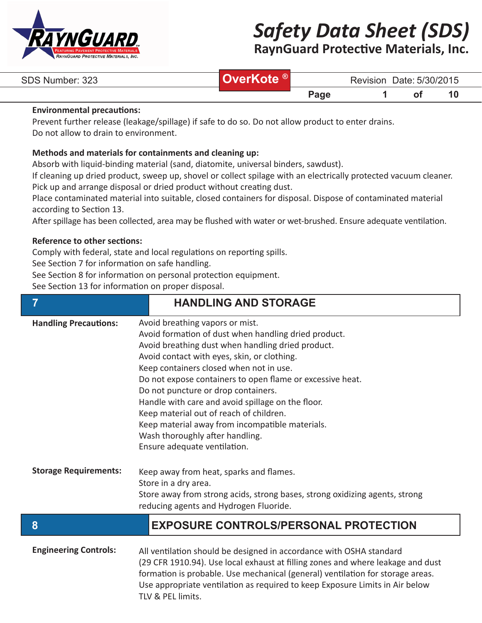

**RaynGuard Protective Materials, Inc.**

| SDS Number: 323 |      | <b>Revision</b> | Date: 5/30/2015 |        |  |
|-----------------|------|-----------------|-----------------|--------|--|
|                 | Page |                 | 01              | $\sim$ |  |

#### **Environmental precautions:**

Prevent further release (leakage/spillage) if safe to do so. Do not allow product to enter drains. Do not allow to drain to environment.

#### **Methods and materials for containments and cleaning up:**

Absorb with liquid-binding material (sand, diatomite, universal binders, sawdust).

If cleaning up dried product, sweep up, shovel or collect spilage with an electrically protected vacuum cleaner. Pick up and arrange disposal or dried product without creating dust.

Place contaminated material into suitable, closed containers for disposal. Dispose of contaminated material according to Section 13.

After spillage has been collected, area may be flushed with water or wet-brushed. Ensure adequate ventilation.

#### **Reference to other sections:**

Comply with federal, state and local regulations on reporting spills.

See Section 7 for information on safe handling.

See Section 8 for information on personal protection equipment.

See Section 13 for information on proper disposal.

| Avoid breathing vapors or mist.<br><b>Handling Precautions:</b><br>Avoid formation of dust when handling dried product.<br>Avoid breathing dust when handling dried product.<br>Avoid contact with eyes, skin, or clothing.<br>Keep containers closed when not in use.<br>Do not expose containers to open flame or excessive heat.<br>Do not puncture or drop containers.<br>Handle with care and avoid spillage on the floor.<br>Keep material out of reach of children.<br>Keep material away from incompatible materials.<br>Wash thoroughly after handling.<br>Ensure adequate ventilation. | $\overline{7}$ | <b>HANDLING AND STORAGE</b> |  |
|--------------------------------------------------------------------------------------------------------------------------------------------------------------------------------------------------------------------------------------------------------------------------------------------------------------------------------------------------------------------------------------------------------------------------------------------------------------------------------------------------------------------------------------------------------------------------------------------------|----------------|-----------------------------|--|
|                                                                                                                                                                                                                                                                                                                                                                                                                                                                                                                                                                                                  |                |                             |  |
| <b>Storage Requirements:</b><br>Keep away from heat, sparks and flames.<br>Store in a dry area.<br>Store away from strong acids, strong bases, strong oxidizing agents, strong<br>reducing agents and Hydrogen Fluoride.                                                                                                                                                                                                                                                                                                                                                                         |                |                             |  |
| 8<br><b>EXPOSURE CONTROLS/PERSONAL PROTECTION</b>                                                                                                                                                                                                                                                                                                                                                                                                                                                                                                                                                |                |                             |  |

| <b>Engineering Controls:</b> | All ventilation should be designed in accordance with OSHA standard             |
|------------------------------|---------------------------------------------------------------------------------|
|                              | (29 CFR 1910.94). Use local exhaust at filling zones and where leakage and dust |
|                              | formation is probable. Use mechanical (general) ventilation for storage areas.  |
|                              | Use appropriate ventilation as required to keep Exposure Limits in Air below    |
|                              | TLV & PEL limits.                                                               |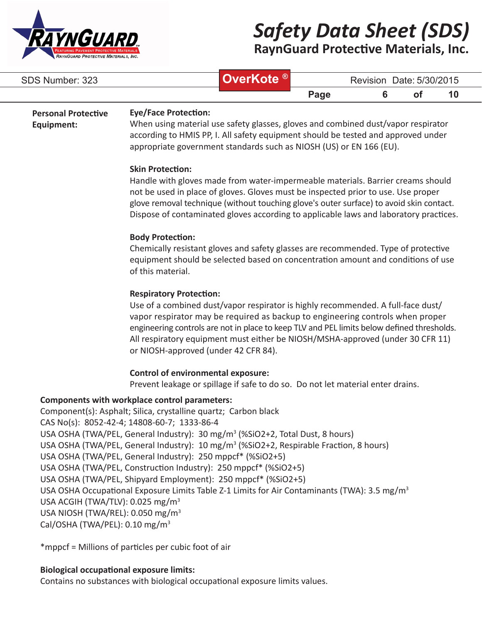

**RaynGuard Protective Materials, Inc.**

| SDS Number: 323                                                                                                                            |                                                                                                                                                                                                                                                                                                                                                                                                                                                                                                                                                                                                                                                                                  | OverKote <sup>®</sup>                                                                 |      | Revision Date: 5/30/2015 |           |    |
|--------------------------------------------------------------------------------------------------------------------------------------------|----------------------------------------------------------------------------------------------------------------------------------------------------------------------------------------------------------------------------------------------------------------------------------------------------------------------------------------------------------------------------------------------------------------------------------------------------------------------------------------------------------------------------------------------------------------------------------------------------------------------------------------------------------------------------------|---------------------------------------------------------------------------------------|------|--------------------------|-----------|----|
|                                                                                                                                            |                                                                                                                                                                                                                                                                                                                                                                                                                                                                                                                                                                                                                                                                                  |                                                                                       | Page | 6                        | <b>of</b> | 10 |
| <b>Personal Protective</b><br>Equipment:                                                                                                   | <b>Eye/Face Protection:</b><br>When using material use safety glasses, gloves and combined dust/vapor respirator<br>according to HMIS PP, I. All safety equipment should be tested and approved under<br>appropriate government standards such as NIOSH (US) or EN 166 (EU).                                                                                                                                                                                                                                                                                                                                                                                                     |                                                                                       |      |                          |           |    |
|                                                                                                                                            | <b>Skin Protection:</b><br>Handle with gloves made from water-impermeable materials. Barrier creams should<br>not be used in place of gloves. Gloves must be inspected prior to use. Use proper<br>glove removal technique (without touching glove's outer surface) to avoid skin contact.                                                                                                                                                                                                                                                                                                                                                                                       | Dispose of contaminated gloves according to applicable laws and laboratory practices. |      |                          |           |    |
|                                                                                                                                            | <b>Body Protection:</b><br>Chemically resistant gloves and safety glasses are recommended. Type of protective<br>equipment should be selected based on concentration amount and conditions of use<br>of this material.                                                                                                                                                                                                                                                                                                                                                                                                                                                           |                                                                                       |      |                          |           |    |
|                                                                                                                                            | <b>Respiratory Protection:</b><br>Use of a combined dust/vapor respirator is highly recommended. A full-face dust/<br>vapor respirator may be required as backup to engineering controls when proper<br>engineering controls are not in place to keep TLV and PEL limits below defined thresholds.<br>All respiratory equipment must either be NIOSH/MSHA-approved (under 30 CFR 11)<br>or NIOSH-approved (under 42 CFR 84).                                                                                                                                                                                                                                                     |                                                                                       |      |                          |           |    |
|                                                                                                                                            | <b>Control of environmental exposure:</b><br>Prevent leakage or spillage if safe to do so. Do not let material enter drains.                                                                                                                                                                                                                                                                                                                                                                                                                                                                                                                                                     |                                                                                       |      |                          |           |    |
| USA ACGIH (TWA/TLV): 0.025 mg/m <sup>3</sup><br>USA NIOSH (TWA/REL): 0.050 mg/m <sup>3</sup><br>Cal/OSHA (TWA/PEL): 0.10 mg/m <sup>3</sup> | Components with workplace control parameters:<br>Component(s): Asphalt; Silica, crystalline quartz; Carbon black<br>CAS No(s): 8052-42-4; 14808-60-7; 1333-86-4<br>USA OSHA (TWA/PEL, General Industry): 30 mg/m <sup>3</sup> (%SiO2+2, Total Dust, 8 hours)<br>USA OSHA (TWA/PEL, General Industry): 10 mg/m <sup>3</sup> (%SiO2+2, Respirable Fraction, 8 hours)<br>USA OSHA (TWA/PEL, General Industry): 250 mppcf* (%SiO2+5)<br>USA OSHA (TWA/PEL, Construction Industry): 250 mppcf* (%SiO2+5)<br>USA OSHA (TWA/PEL, Shipyard Employment): 250 mppcf* (%SiO2+5)<br>USA OSHA Occupational Exposure Limits Table Z-1 Limits for Air Contaminants (TWA): 3.5 mg/m <sup>3</sup> |                                                                                       |      |                          |           |    |

\*mppcf = Millions of particles per cubic foot of air

## **Biological occupational exposure limits:**

Contains no substances with biological occupational exposure limits values.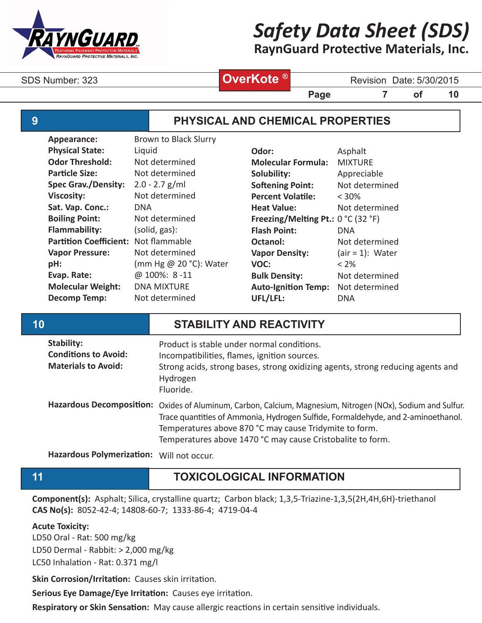

**RaynGuard Protective Materials, Inc.**

# **OverKote ®**

SDS Number: 323 **Blue Burners CoverKote** Manus Revision Date: 5/30/2015

**Page 7 of 10**

# **9 PHYSICAL AND CHEMICAL PROPERTIES**

| Appearance:                   | <b>Brown to Black Slurry</b> |              |
|-------------------------------|------------------------------|--------------|
| <b>Physical State:</b>        | Liquid                       | Odor         |
| <b>Odor Threshold:</b>        | Not determined               | <b>Mole</b>  |
| <b>Particle Size:</b>         | Not determined               | Solub        |
| <b>Spec Grav./Density:</b>    | $2.0 - 2.7$ g/ml             | Softe        |
| <b>Viscosity:</b>             | Not determined               | Perce        |
| Sat. Vap. Conc.:              | DNA                          | <b>Heat</b>  |
| <b>Boiling Point:</b>         | Not determined               | Freez        |
| <b>Flammability:</b>          | (solid, gas):                | <b>Flash</b> |
| <b>Partition Coefficient:</b> | Not flammable                | Octar        |
| <b>Vapor Pressure:</b>        | Not determined               | Vapo         |
| pH:                           | (mm Hg @ 20 °C): Water       | VOC:         |
| Evap. Rate:                   | @ 100%: 8-11                 | <b>Bulk</b>  |
| <b>Molecular Weight:</b>      | <b>DNA MIXTURE</b>           | Auto-        |
| <b>Decomp Temp:</b>           | Not determined               | UFL/I        |
|                               |                              |              |

| Odor:                                   | Asphalt            |
|-----------------------------------------|--------------------|
| <b>Molecular Formula:</b>               | <b>MIXTURF</b>     |
| Solubility:                             | Appreciable        |
| <b>Softening Point:</b>                 | Not determined     |
| <b>Percent Volatile:</b>                | $< 30\%$           |
| <b>Heat Value:</b>                      | Not determined     |
| Freezing/Melting Pt.: $0 °C$ (32 $°F$ ) |                    |
| <b>Flash Point:</b>                     | <b>DNA</b>         |
| Octanol:                                | Not determined     |
| <b>Vapor Density:</b>                   | $air = 1)$ : Water |
| VOC:                                    | < 2%               |
| <b>Bulk Density:</b>                    | Not determined     |
| <b>Auto-Ignition Temp:</b>              | Not determined     |
| UFL/LFL:                                | DNA                |

# **10 STABILITY AND REACTIVITY**

| Stability:<br><b>Conditions to Avoid:</b><br><b>Materials to Avoid:</b> | Product is stable under normal conditions.<br>Incompatibilities, flames, ignition sources.<br>Strong acids, strong bases, strong oxidizing agents, strong reducing agents and<br>Hydrogen<br>Fluoride.                                                                                         |
|-------------------------------------------------------------------------|------------------------------------------------------------------------------------------------------------------------------------------------------------------------------------------------------------------------------------------------------------------------------------------------|
| <b>Hazardous Decomposition:</b>                                         | Oxides of Aluminum, Carbon, Calcium, Magnesium, Nitrogen (NOx), Sodium and Sulfur.<br>Trace quantities of Ammonia, Hydrogen Sulfide, Formaldehyde, and 2-aminoethanol.<br>Temperatures above 870 °C may cause Tridymite to form.<br>Temperatures above 1470 °C may cause Cristobalite to form. |

**Hazardous Polymerization:** Will not occur.

# **11 TOXICOLOGICAL INFORMATION**

**Component(s):** Asphalt; Silica, crystalline quartz; Carbon black; 1,3,5-Triazine-1,3,5(2H,4H,6H)-triethanol **CAS No(s):** 8052-42-4; 14808-60-7; 1333-86-4; 4719-04-4

## **Acute Toxicity:**

LD50 Oral - Rat: 500 mg/kg LD50 Dermal - Rabbit: > 2,000 mg/kg

LC50 Inhalation - Rat: 0.371 mg/l

**Skin Corrosion/Irritation:** Causes skin irritation.

**Serious Eye Damage/Eye Irritation:** Causes eye irritation.

**Respiratory or Skin Sensation:** May cause allergic reactions in certain sensitive individuals.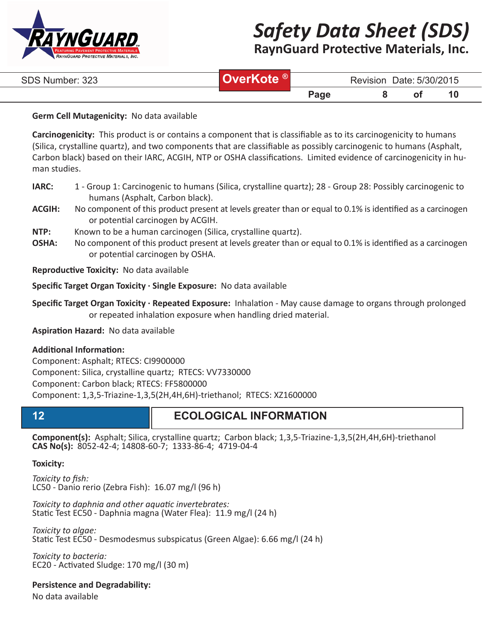

**RaynGuard Protective Materials, Inc.**

| SDS Number: 323 | <b>JverKote</b> <sup>®</sup> | Revision Date: 5/30/2015 |  |  |  |
|-----------------|------------------------------|--------------------------|--|--|--|
|                 |                              | Page                     |  |  |  |

#### **Germ Cell Mutagenicity:** No data available

**Carcinogenicity:** This product is or contains a component that is classifiable as to its carcinogenicity to humans (Silica, crystalline quartz), and two components that are classifiable as possibly carcinogenic to humans (Asphalt, Carbon black) based on their IARC, ACGIH, NTP or OSHA classifications. Limited evidence of carcinogenicity in human studies.

- **IARC:** 1 Group 1: Carcinogenic to humans (Silica, crystalline quartz); 28 Group 28: Possibly carcinogenic to humans (Asphalt, Carbon black).
- **ACGIH:** No component of this product present at levels greater than or equal to 0.1% is identified as a carcinogen or potential carcinogen by ACGIH.
- **NTP:** Known to be a human carcinogen (Silica, crystalline quartz).
- **OSHA:** No component of this product present at levels greater than or equal to 0.1% is identified as a carcinogen or potential carcinogen by OSHA.

**Reproductive Toxicity:** No data available

**Specific Target Organ Toxicity · Single Exposure:** No data available

**Specific Target Organ Toxicity · Repeated Exposure:** Inhalation - May cause damage to organs through prolonged or repeated inhalation exposure when handling dried material.

**Aspiration Hazard:** No data available

#### **Additional Information:**

Component: Asphalt; RTECS: CI9900000 Component: Silica, crystalline quartz; RTECS: VV7330000 Component: Carbon black; RTECS: FF5800000 Component: 1,3,5-Triazine-1,3,5(2H,4H,6H)-triethanol; RTECS: XZ1600000

# **12 ECOLOGICAL INFORMATION**

**Component(s):** Asphalt; Silica, crystalline quartz; Carbon black; 1,3,5-Triazine-1,3,5(2H,4H,6H)-triethanol **CAS No(s):** 8052-42-4; 14808-60-7; 1333-86-4; 4719-04-4

## **Toxicity:**

*Toxicity to fish:* LC50 - Danio rerio (Zebra Fish): 16.07 mg/l (96 h)

*Toxicity to daphnia and other aquatic invertebrates:* Static Test EC50 - Daphnia magna (Water Flea): 11.9 mg/l (24 h)

*Toxicity to algae:* Static Test EC50 - Desmodesmus subspicatus (Green Algae): 6.66 mg/l (24 h)

*Toxicity to bacteria:* EC20 - Activated Sludge: 170 mg/l (30 m)

**Persistence and Degradability:**

No data available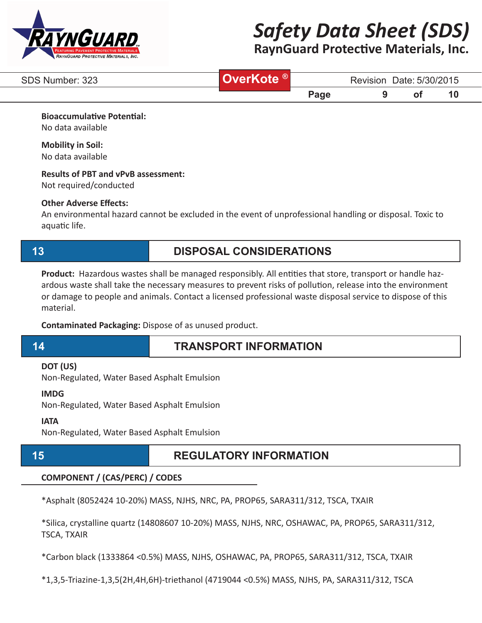

# **RaynGuard Protective Materials, Inc.**

| SDS Number: 323 | . ® | Date: 5/30/2015<br><b>Revision</b> |  |  |          |  |
|-----------------|-----|------------------------------------|--|--|----------|--|
|                 |     | $P$ age                            |  |  | $\sim$ 1 |  |

**Bioaccumulative Potential:**

No data available

#### **Mobility in Soil:** No data available

# **Results of PBT and vPvB assessment:**

Not required/conducted

## **Other Adverse Effects:**

An environmental hazard cannot be excluded in the event of unprofessional handling or disposal. Toxic to aquatic life.

# **13 DISPOSAL CONSIDERATIONS**

**Product:** Hazardous wastes shall be managed responsibly. All entities that store, transport or handle hazardous waste shall take the necessary measures to prevent risks of pollution, release into the environment or damage to people and animals. Contact a licensed professional waste disposal service to dispose of this material.

**Contaminated Packaging:** Dispose of as unused product.

# **14 TRANSPORT INFORMATION**

## **DOT (US)**

Non-Regulated, Water Based Asphalt Emulsion

#### **IMDG**

Non-Regulated, Water Based Asphalt Emulsion

#### **IATA**

Non-Regulated, Water Based Asphalt Emulsion

# **15 REGULATORY INFORMATION**

## **COMPONENT / (CAS/PERC) / CODES**

\*Asphalt (8052424 10-20%) MASS, NJHS, NRC, PA, PROP65, SARA311/312, TSCA, TXAIR

\*Silica, crystalline quartz (14808607 10-20%) MASS, NJHS, NRC, OSHAWAC, PA, PROP65, SARA311/312, TSCA, TXAIR

\*Carbon black (1333864 <0.5%) MASS, NJHS, OSHAWAC, PA, PROP65, SARA311/312, TSCA, TXAIR

\*1,3,5-Triazine-1,3,5(2H,4H,6H)-triethanol (4719044 <0.5%) MASS, NJHS, PA, SARA311/312, TSCA